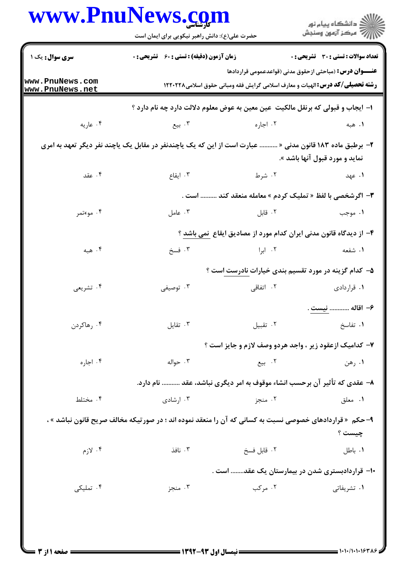|                                    | www.PnuNews.com<br>حضرت علی(ع): دانش راهبر نیکویی برای ایمان است                                          |                                                                                                                                                         | ڪ دانشڪاه پيا <sub>م</sub> نور<br>۾ سرڪز آزمون وسنڊش |
|------------------------------------|-----------------------------------------------------------------------------------------------------------|---------------------------------------------------------------------------------------------------------------------------------------------------------|------------------------------------------------------|
| سری سوال: یک ۱                     | <b>زمان آزمون (دقیقه) : تستی : 60 ٪ تشریحی : 0</b>                                                        |                                                                                                                                                         | <b>تعداد سوالات : تستی : 30 ٪ تشریحی : 0</b>         |
| www.PnuNews.com<br>www.PnuNews.net |                                                                                                           | <b>عنـــوان درس:</b> (مباحثی ازحقوق مدنی (قواعدعمومی قراردادها<br><b>رشته تحصیلی/کد درس: ا</b> لهیات و معارف اسلامی گرایش فقه ومبانی حقوق اسلامی۱۲۲۰۲۲۸ |                                                      |
|                                    | ا– ایجاب و قبولی که برنقل مالکیت ًعین معین به عوض معلوم دلالت دارد چه نام دارد ؟                          |                                                                                                                                                         |                                                      |
| ۰۴ عاریه                           | ۰۳ بیع                                                                                                    | ۰۲ اجاره                                                                                                                                                | ۰۱ هېه                                               |
|                                    | ۲– برطبق ماده ۱۸۳ قانون مدنی «  عبارت است از این که یک یاچندنفر در مقابل یک یاچند نفر دیگر تعهد به امری   |                                                                                                                                                         | نماید و مورد قبول آنها باشد ».                       |
| ۰۴ عقد                             | ۰۳ ایقاع                                                                                                  | ۲. شرط                                                                                                                                                  | ۰۱ عهد                                               |
|                                    |                                                                                                           | ۳- اگرشخصی با لفظ « تملیک کردم » معامله منعقد کند  است .                                                                                                |                                                      |
| ۰۴ موءتمر                          | ۰۳ عامل                                                                                                   | ۰۲ قابل                                                                                                                                                 | ۰۱ موجب                                              |
|                                    |                                                                                                           | ۴– از دیدگاه قانون مدنی ایران کدام مورد از مصادیق ایقاع ۖ نمی باشد ؟                                                                                    |                                                      |
| ۰۴ هبه                             | ۰۳ فسخ                                                                                                    | ۰۲ ابرا                                                                                                                                                 | ۱. شفعه                                              |
|                                    |                                                                                                           | ۵– کدام گزینه در مورد تقسیم بندی خیارات نادرست است ؟                                                                                                    |                                                      |
| ۰۴ تشریعی                          | توصيفى $\cdot$                                                                                            | ۲. اتفاقی                                                                                                                                               | ۰۱ قراردادی                                          |
|                                    |                                                                                                           |                                                                                                                                                         | ۶- اقاله  نيست .                                     |
| ۰۴ رهاکردن                         | ۰۳ تقایل                                                                                                  | ٠٢ تقبيل                                                                                                                                                | ٠١ تفاسخ                                             |
|                                    |                                                                                                           | ۷- کدامیک ازعقود زیر ، واجد هردو وصف لازم و جایز است ؟                                                                                                  |                                                      |
| ۰۴ اجاره                           | ۰۳ حواله                                                                                                  | ۰۲ بیع                                                                                                                                                  | ۰۱ رهن                                               |
|                                    | ۸– عقدی که تأثیر آن برحسب انشاء موقوف به امر دیگری نباشد، عقد  نام دارد.                                  |                                                                                                                                                         |                                                      |
| ۰۴ مختلط                           | ۰۳ ارشادی                                                                                                 | ۰۲ منجز                                                                                                                                                 | ٠١. معلق                                             |
|                                    | ۹- حکم  « قراردادهای خصوصی نسبت به کسانی که آن را منعقد نموده اند ؛ در صورتیکه مخالف صریح قانون نباشد » ، |                                                                                                                                                         |                                                      |
| ۰۴ لازم                            | ۰۳ نافذ                                                                                                   | ٠٢ قابل فسخ                                                                                                                                             | چيست ؟<br>۰۱ باطل                                    |
|                                    |                                                                                                           |                                                                                                                                                         |                                                      |
|                                    |                                                                                                           | ۱۰– قراردادبستری شدن در بیمارستان یک عقد است .                                                                                                          |                                                      |
| ۰۴ تملیکی                          | ۰۳ منجز                                                                                                   | ۰۲ مرکب                                                                                                                                                 | ۰۱ تشریفاتی                                          |
|                                    |                                                                                                           |                                                                                                                                                         |                                                      |
|                                    |                                                                                                           |                                                                                                                                                         |                                                      |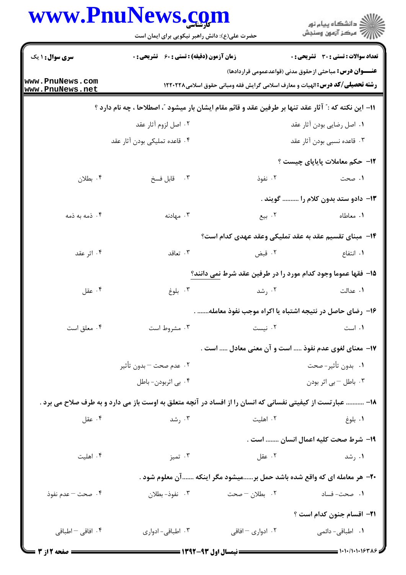|                                    | www.PnuNews.com                                                                                                                                          |                                                              | ر<br>اگر دانشگاه پيام نور<br>اگر مرکز آزمون وسنجش |
|------------------------------------|----------------------------------------------------------------------------------------------------------------------------------------------------------|--------------------------------------------------------------|---------------------------------------------------|
| <b>سری سوال :</b> ۱ یک             | حضرت علی(ع): دانش راهبر نیکویی برای ایمان است<br><b>زمان آزمون (دقیقه) : تستی : 60 ٪ تشریحی : 0</b>                                                      |                                                              | تعداد سوالات : تستي : 30 ٪ تشريحي : 0             |
| www.PnuNews.com<br>www.PnuNews.net | <b>عنــــوان درس:</b> مباحثی ازحقوق مدنی (قواعدعمومی قراردادها)<br><b>رشته تحصیلی/کد درس: ا</b> لهیات و معارف اسلامی گرایش فقه ومبانی حقوق اسلامی۱۲۲۰۲۲۸ |                                                              |                                                   |
|                                    | 11– این نکته که :" آثار عقد تنها بر طرفین عقد و قائم مقام ایشان بار میشود "، اصطلاحا ، چه نام دارد ؟                                                     |                                                              |                                                   |
|                                    | ۰۲ اصل لزوم آثار عقد                                                                                                                                     |                                                              | ٠١. اصل رضايي بودن آثار عقد                       |
|                                    | ۰۴ قاعده تملیکی بودن آثار عقد                                                                                                                            |                                                              | ۰۳ قاعده نسبی بودن آثار عقد                       |
|                                    |                                                                                                                                                          |                                                              | <b>۱۲</b> - حکم معاملات پایایای چیست ؟            |
| ۰۴ بطلان                           | ۰۳ قابل فسخ                                                                                                                                              | ۰۲ نفوذ                                                      | ۱. صحت                                            |
|                                    |                                                                                                                                                          |                                                              | ۱۳- دادو ستد بدون کلام را  گویند .                |
| ۰۴ ذمه به ذمه                      | ۰۳ مهادنه                                                                                                                                                | ۰۲ بیع                                                       | ۰۱ معاطاه                                         |
|                                    |                                                                                                                                                          | ۰۱۴ مبنای تقسیم عقد به عقد تملیکی وعقد عهدی کدام است؟        |                                                   |
| ۰۴ اثر عقد                         | ۰۳ تعاقد                                                                                                                                                 | ۰۲ قبض                                                       | ۰۱ انتفاع                                         |
|                                    |                                                                                                                                                          | 1۵- فقها عموما وجود کدام مورد را در طرفین عقد شرط نمی دانند؟ |                                                   |
| ۰۴ عقل                             | ۰۳ بلوغ                                                                                                                                                  | ۰۲ رشد                                                       | ۰۱ عدالت                                          |
|                                    |                                                                                                                                                          | ۱۶– رضای حاصل در نتیجه اشتباه یا اکراه موجب نفوذ معامله .    |                                                   |
| ۰۴ معلق است                        | ۰۳ مشروط است                                                                                                                                             | ۰۲ نیست                                                      | ۰۱ است                                            |
|                                    |                                                                                                                                                          | ۱۷– معنای لغوی عدم نفوذ  است و آن معنی معادل  است .          |                                                   |
|                                    | ۰۲ عدم صحت – بدون تأثير                                                                                                                                  |                                                              | ۰۱ بدون تأثير-صحت                                 |
|                                    | ۰۴ بي اثربودن- باطل                                                                                                                                      |                                                              | ۰۳ باطل – بی اثر بودن                             |

18- ........... عبارتست از کیفیتی نفسانی که انسان را از افساد در آنچه متعلق به اوست باز می دارد و به طرف صلاح می برد . ۰۴ عقل ۰۲ اهلیت ۰۳ رشد ۰۱ بلوغ ١٩- شرط صحت كليه اعمال انسان ........ است .

۰۴ اهلیت ۰۳ تميز ۰۲ عقل ۰۱ رشد

۲۰– هر معامله ای که واقع شده باشد حمل بر......میشود مگر اینکه .......آن معلوم شود .

۰۴ صحت – عدم نفوذ ۰۳ نفوذ- بطلان ۲. بطلان – صحت ۰۱ صحت- فساد

**٢١**- اقسام جنون كدام است ؟ ۰۴ افاقی – اطباقی ۰۳ اطباقی- ادواری ۰۲ ادواری – افاقی **۱.** اطباقی- دائمی